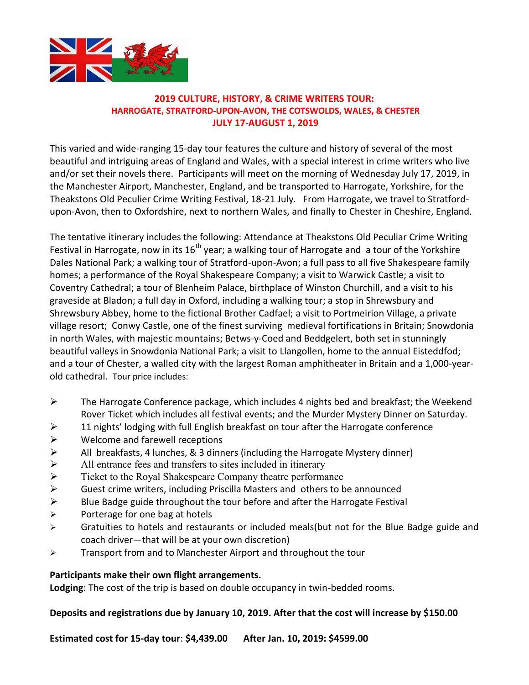

## **2019 CULTURE, HISTORY, & CRIME WRITERS TOUR: HARROGATE, STRATFORD-UPON-AVON, THE COTSWOLDS, WALES, & CHESTER JULY 17-AUGUST 1, 2019**

This varied and wide-ranging 15-day tour features the culture and history of several of the most beautiful and intriguing areas of England and Wales, with a special interest in crime writers who live and/or set their novels there. Participants will meet on the morning of Wednesday July 17, 2019, in the Manchester Airport, Manchester, England, and be transported to Harrogate, Yorkshire, for the Theakstons Old Peculier Crime Writing Festival, 18-21 July. From Harrogate, we travel to Stratfordupon-Avon, then to Oxfordshire, next to northern Wales, and finally to Chester in Cheshire, England.

The tentative itinerary includes the following: Attendance at Theakstons Old Peculiar Crime Writing Festival in Harrogate, now in its 16<sup>th</sup> year; a walking tour of Harrogate and a tour of the Yorkshire Dales National Park; a walking tour of Stratford-upon-Avon; a full pass to all five Shakespeare family homes; a performance of the Royal Shakespeare Company; a visit to Warwick Castle; a visit to Coventry Cathedral; a tour of Blenheim Palace, birthplace of Winston Churchill, and a visit to his graveside at Bladon; a full day in Oxford, including a walking tour; a stop in Shrewsbury and Shrewsbury Abbey, home to the fictional Brother Cadfael; a visit to Portmeirion Village, a private village resort; Conwy Castle, one of the finest surviving medieval fortifications in Britain; Snowdonia in north Wales, with majestic mountains; Betws-y-Coed and Beddgelert, both set in stunningly beautiful valleys in Snowdonia National Park; a visit to Llangollen, home to the annual Eisteddfod; and a tour of Chester, a walled city with the largest Roman amphitheater in Britain and a 1,000-yearold cathedral. Tour price includes:

- $\triangleright$  The Harrogate Conference package, which includes 4 nights bed and breakfast; the Weekend Rover Ticket which includes all festival events; and the Murder Mystery Dinner on Saturday.
- $\geq$  11 nights' lodging with full English breakfast on tour after the Harrogate conference
- $\triangleright$  Welcome and farewell receptions
- → All breakfasts, 4 lunches, & 3 dinners (including the Harrogate Mystery dinner)<br>
→ All entrance fees and transfers to sites included in itinerary<br>
→ Ticket to the Royal Shakespeare Company theatre performance
- All entrance fees and transfers to sites included in itinerary
- Ticket to the Royal Shakespeare Company theatre performance
- ¾ Guest crime writers, including Priscilla Masters and others to be announced
- $\triangleright$  Blue Badge guide throughout the tour before and after the Harrogate Festival
- $\triangleright$  Porterage for one bag at hotels
- ¾ Gratuities to hotels and restaurants or included meals(but not for the Blue Badge guide and coach driver—that will be at your own discretion)
- ¾ Transport from and to Manchester Airport and throughout the tour

## **Participants make their own flight arrangements.**

**Lodging**: The cost of the trip is based on double occupancy in twin-bedded rooms.

## **Deposits and registrations due by January 10, 2019. After that the cost will increase by \$150.00**

**Estimated cost for 15-day tour**: **\$4,439.00 After Jan. 10, 2019: \$4599.00**